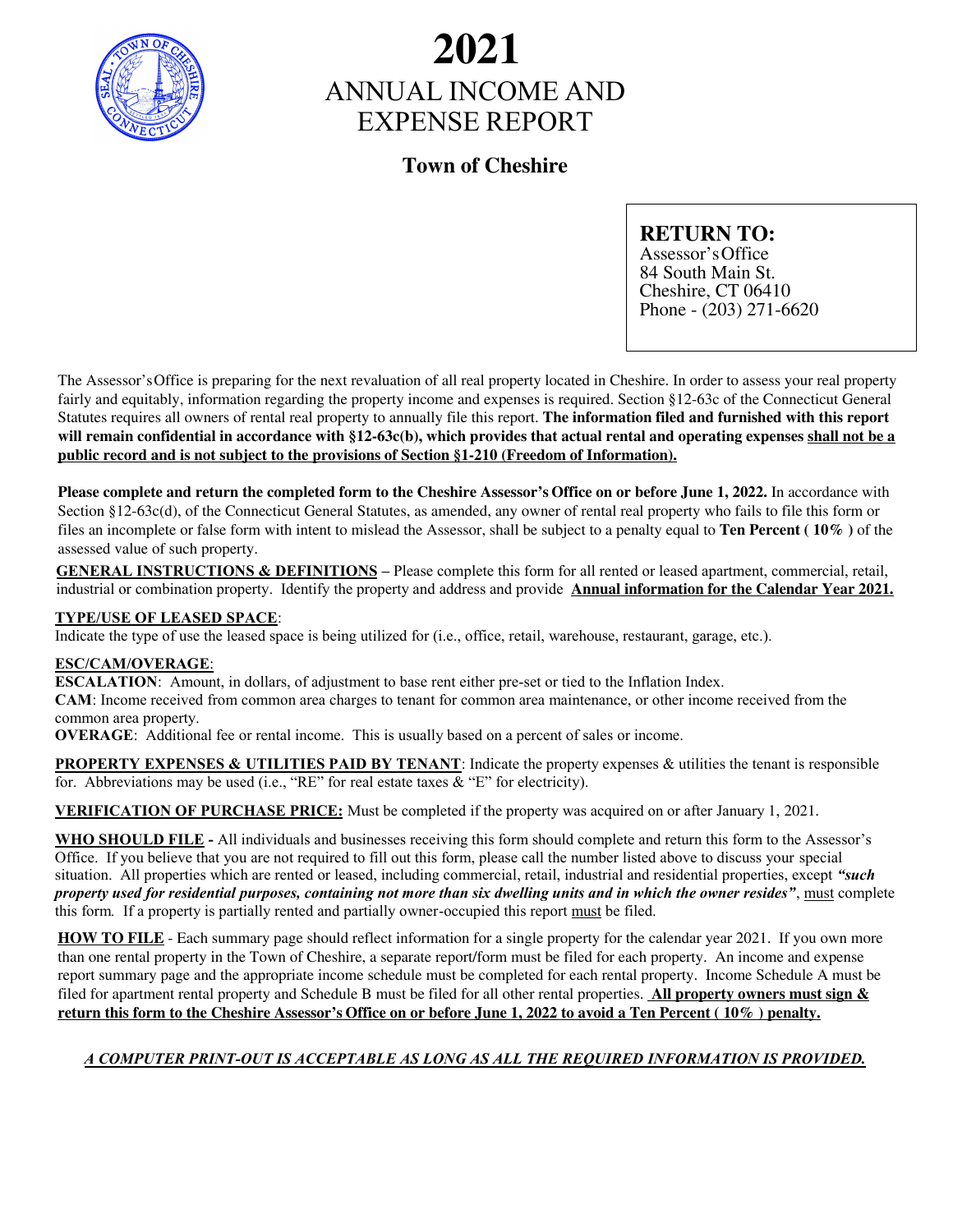

# ANNUAL INCOME AND EXPENSE REPORT **2021**

### **Town of Cheshire**

### **RETURN TO:**

Assessor's Office 84 South Main St. Cheshire, CT 06410 Phone - (203) 271-6620

The Assessor's Office is preparing for the next revaluation of all real property located in Cheshire. In order to assess your real property fairly and equitably, information regarding the property income and expenses is required. Section §12-63c of the Connecticut General Statutes requires all owners of rental real property to annually file this report. **The information filed and furnished with this report will remain confidential in accordance with §12-63c(b), which provides that actual rental and operating expenses shall not be a public record and is not subject to the provisions of Section §1-210 (Freedom of Information).**

**Please complete and return the completed form to the Cheshire Assessor's Office on or before June 1, 2022.** In accordance with Section §12-63c(d), of the Connecticut General Statutes, as amended, any owner of rental real property who fails to file this form or files an incomplete or false form with intent to mislead the Assessor, shall be subject to a penalty equal to **Ten Percent ( 10% )** of the assessed value of such property.

**GENERAL INSTRUCTIONS & DEFINITIONS –** Please complete this form for all rented or leased apartment, commercial, retail, industrial or combination property. Identify the property and address and provide **Annual information for the Calendar Year 2021.**

### **TYPE/USE OF LEASED SPACE**:

Indicate the type of use the leased space is being utilized for (i.e., office, retail, warehouse, restaurant, garage, etc.).

### **ESC/CAM/OVERAGE**:

**ESCALATION**: Amount, in dollars, of adjustment to base rent either pre-set or tied to the Inflation Index. **CAM**: Income received from common area charges to tenant for common area maintenance, or other income received from the common area property.

**OVERAGE**: Additional fee or rental income. This is usually based on a percent of sales or income.

**PROPERTY EXPENSES & UTILITIES PAID BY TENANT:** Indicate the property expenses & utilities the tenant is responsible for. Abbreviations may be used (i.e., "RE" for real estate taxes  $\&$  "E" for electricity).

**VERIFICATION OF PURCHASE PRICE:** Must be completed if the property was acquired on or after January 1, 2021.

**WHO SHOULD FILE -** All individuals and businesses receiving this form should complete and return this form to the Assessor's Office. If you believe that you are not required to fill out this form, please call the number listed above to discuss your special situation. All properties which are rented or leased, including commercial, retail, industrial and residential properties, except *"such property used for residential purposes, containing not more than six dwelling units and in which the owner resides"*, must complete this form*.* If a property is partially rented and partially owner-occupied this report must be filed.

**HOW TO FILE** - Each summary page should reflect information for a single property for the calendar year 2021. If you own more than one rental property in the Town of Cheshire, a separate report/form must be filed for each property. An income and expense report summary page and the appropriate income schedule must be completed for each rental property. Income Schedule A must be filed for apartment rental property and Schedule B must be filed for all other rental properties. **All property owners must sign &** return this form to the Cheshire Assessor's Office on or before June 1, 2022 to avoid a Ten Percent (10%) penalty.

### *A COMPUTER PRINT-OUT IS ACCEPTABLE AS LONG AS ALL THE REQUIRED INFORMATION IS PROVIDED.*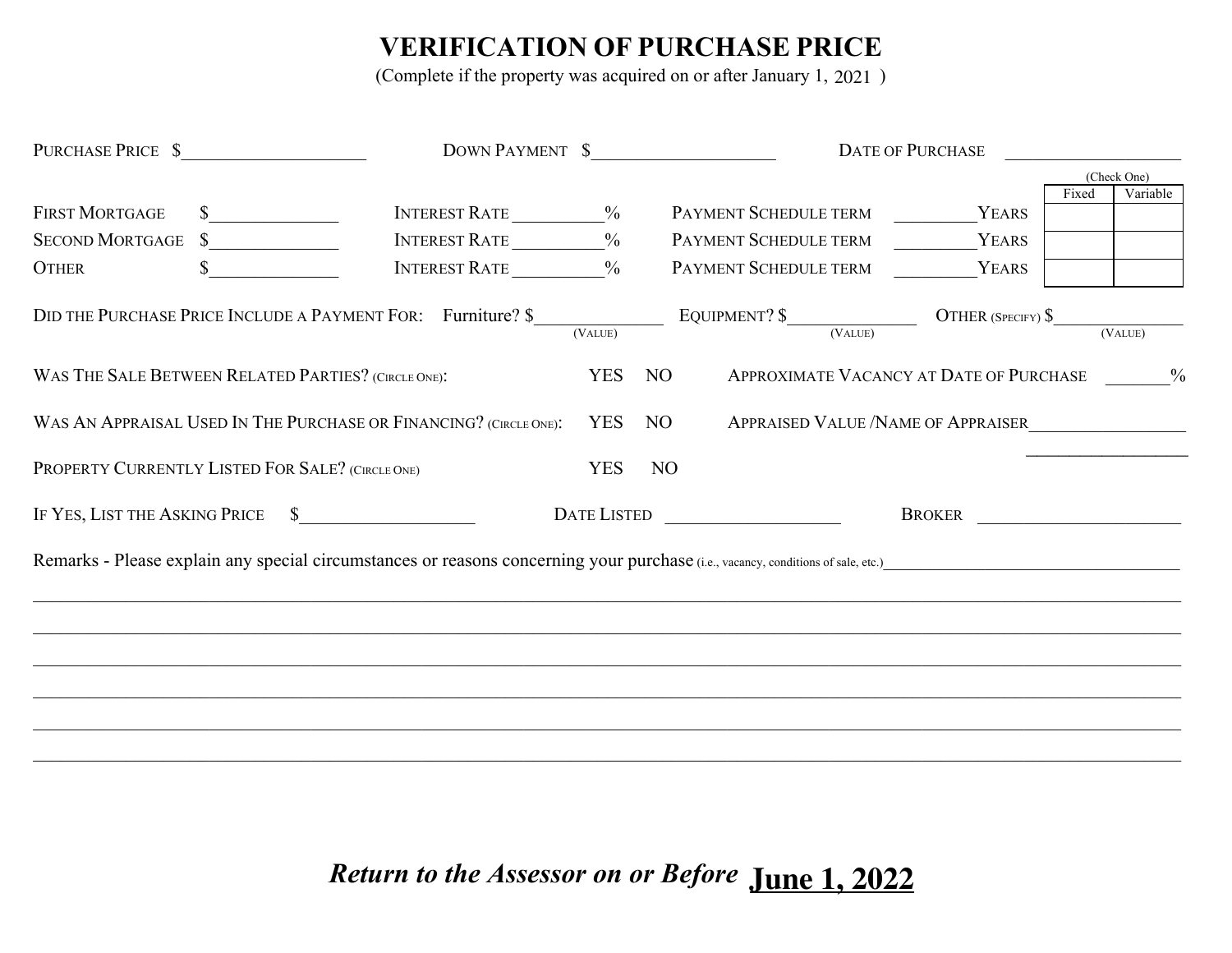## **VERIFICATION OF PURCHASE PRICE**

(Complete if the property was acquired on or after January 1, 2021)

| PURCHASE PRICE \$                                                 |                                                                                                                                  | DOWN PAYMENT \$ |                                                        |                                                                                                       | DATE OF PURCHASE<br><u> 1990 - Johann Barbara, martin a</u> |             |               |  |  |  |  |
|-------------------------------------------------------------------|----------------------------------------------------------------------------------------------------------------------------------|-----------------|--------------------------------------------------------|-------------------------------------------------------------------------------------------------------|-------------------------------------------------------------|-------------|---------------|--|--|--|--|
|                                                                   |                                                                                                                                  |                 |                                                        |                                                                                                       |                                                             | (Check One) |               |  |  |  |  |
| <b>FIRST MORTGAGE</b>                                             | INTEREST RATE ___________%<br>$\sim$                                                                                             |                 |                                                        | PAYMENT SCHEDULE TERM YEARS                                                                           |                                                             | Fixed       | Variable      |  |  |  |  |
| SECOND MORTGAGE \$                                                | INTEREST RATE ____________%                                                                                                      |                 |                                                        | PAYMENT SCHEDULE TERM                                                                                 | YEARS                                                       |             |               |  |  |  |  |
| <b>OTHER</b><br>S.                                                | <b>INTEREST RATE</b> %                                                                                                           |                 |                                                        | PAYMENT SCHEDULE TERM                                                                                 | YEARS                                                       |             |               |  |  |  |  |
|                                                                   | DID THE PURCHASE PRICE INCLUDE A PAYMENT FOR: Furniture? \$                                                                      |                 |                                                        | EQUIPMENT? $\frac{\text{EQUIPMENT?}}{\text{(VALUE)}}$ OTHER (SPECIFY) $\frac{\text{S}}{\text{QULUE}}$ |                                                             |             | (VALUE)       |  |  |  |  |
| WAS THE SALE BETWEEN RELATED PARTIES? (CIRCLE ONE):               |                                                                                                                                  | <b>YES</b>      | NO <sub>1</sub>                                        | APPROXIMATE VACANCY AT DATE OF PURCHASE                                                               |                                                             |             | $\frac{0}{0}$ |  |  |  |  |
| WAS AN APPRAISAL USED IN THE PURCHASE OR FINANCING? (CIRCLE ONE): | <b>YES</b>                                                                                                                       | NO              | APPRAISED VALUE / NAME OF APPRAISER                    |                                                                                                       |                                                             |             |               |  |  |  |  |
| PROPERTY CURRENTLY LISTED FOR SALE? (CIRCLE ONE)                  |                                                                                                                                  | <b>YES</b>      | NO                                                     |                                                                                                       |                                                             |             |               |  |  |  |  |
| IF YES, LIST THE ASKING PRICE \$                                  | <b>DATE LISTED</b>                                                                                                               |                 | <u> 1989 - Johann Stoff, fransk politik fotograf (</u> | BROKER                                                                                                |                                                             |             |               |  |  |  |  |
|                                                                   | Remarks - Please explain any special circumstances or reasons concerning your purchase (i.e., vacancy, conditions of sale, etc.) |                 |                                                        |                                                                                                       |                                                             |             |               |  |  |  |  |
|                                                                   |                                                                                                                                  |                 |                                                        |                                                                                                       |                                                             |             |               |  |  |  |  |
|                                                                   |                                                                                                                                  |                 |                                                        |                                                                                                       |                                                             |             |               |  |  |  |  |
|                                                                   |                                                                                                                                  |                 |                                                        |                                                                                                       |                                                             |             |               |  |  |  |  |
|                                                                   |                                                                                                                                  |                 |                                                        |                                                                                                       |                                                             |             |               |  |  |  |  |
|                                                                   |                                                                                                                                  |                 |                                                        |                                                                                                       |                                                             |             |               |  |  |  |  |
|                                                                   |                                                                                                                                  |                 |                                                        |                                                                                                       |                                                             |             |               |  |  |  |  |

*Return to the Assessor on or Before* **June 1, 2022**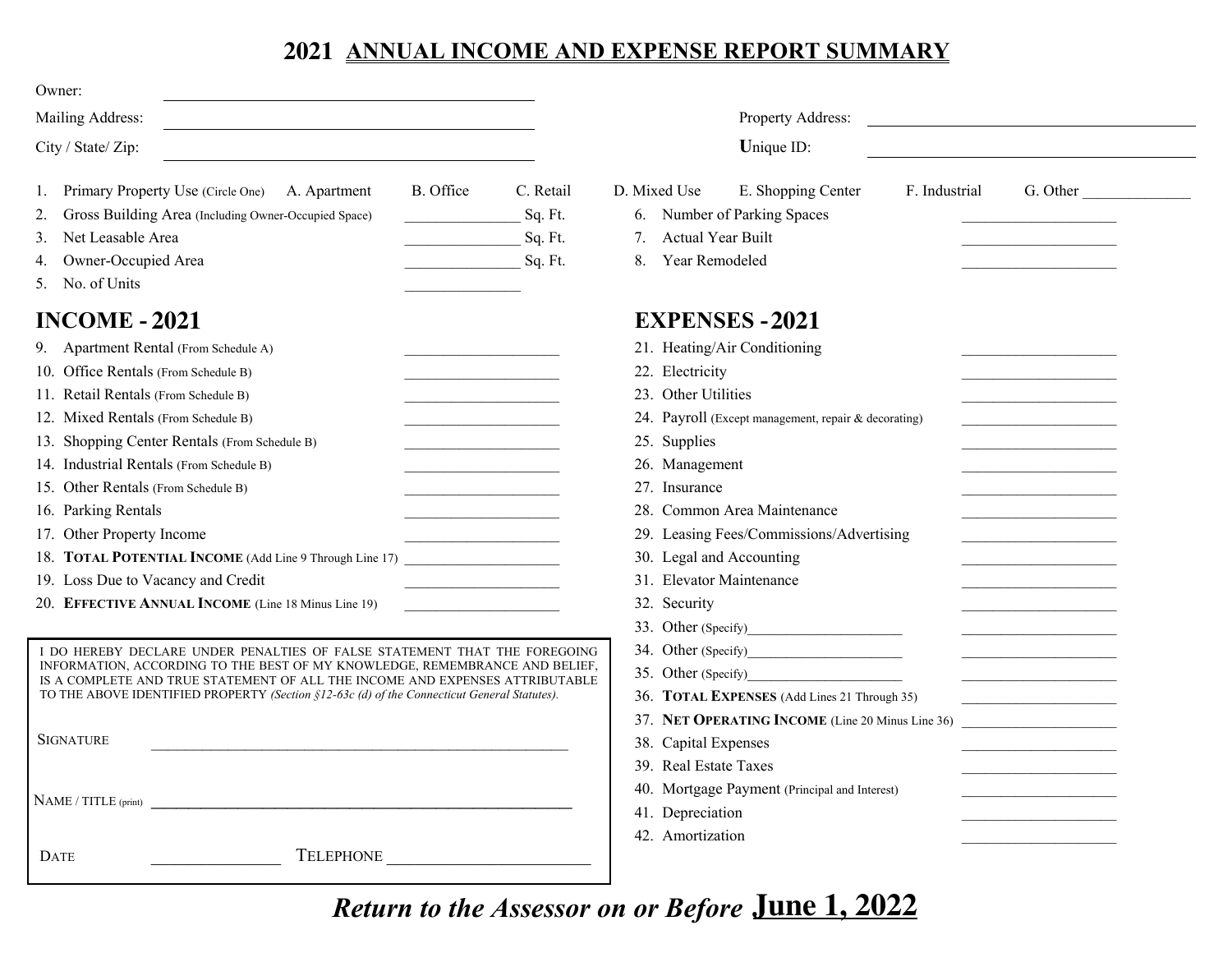### **ANNUAL INCOME AND EXPENSE REPORT SUMMARY 2021**

| Owner:                                                                                                                                                                                                                                                                                                                                                                                                                                                                                                                                                                                                                                                                                                                                                                                                                    |                                                                                                                                                                                                                                                                                                                                                                                            |  |  |  |  |  |  |  |
|---------------------------------------------------------------------------------------------------------------------------------------------------------------------------------------------------------------------------------------------------------------------------------------------------------------------------------------------------------------------------------------------------------------------------------------------------------------------------------------------------------------------------------------------------------------------------------------------------------------------------------------------------------------------------------------------------------------------------------------------------------------------------------------------------------------------------|--------------------------------------------------------------------------------------------------------------------------------------------------------------------------------------------------------------------------------------------------------------------------------------------------------------------------------------------------------------------------------------------|--|--|--|--|--|--|--|
| Mailing Address:                                                                                                                                                                                                                                                                                                                                                                                                                                                                                                                                                                                                                                                                                                                                                                                                          | Property Address:<br><u> 1980 - Andrea Stadt, fransk politik (d. 1980)</u>                                                                                                                                                                                                                                                                                                                 |  |  |  |  |  |  |  |
| City / State/ Zip:                                                                                                                                                                                                                                                                                                                                                                                                                                                                                                                                                                                                                                                                                                                                                                                                        | Unique ID:                                                                                                                                                                                                                                                                                                                                                                                 |  |  |  |  |  |  |  |
| B. Office<br>Primary Property Use (Circle One) A. Apartment<br>C. Retail<br>1.<br>Gross Building Area (Including Owner-Occupied Space)<br>Sq. Ft.<br>2.<br>Net Leasable Area<br>Sq. Ft.<br>3.<br>Owner-Occupied Area<br>Sq. Ft.<br>5. No. of Units                                                                                                                                                                                                                                                                                                                                                                                                                                                                                                                                                                        | E. Shopping Center<br>D. Mixed Use<br>F. Industrial<br>G. Other<br>Number of Parking Spaces<br>6.<br><b>Actual Year Built</b><br>7.<br>Year Remodeled<br>8.                                                                                                                                                                                                                                |  |  |  |  |  |  |  |
| <b>INCOME - 2021</b><br>9. Apartment Rental (From Schedule A)<br>the control of the control of the control<br>10. Office Rentals (From Schedule B)<br>11. Retail Rentals (From Schedule B)<br>the control of the control of the control of<br>12. Mixed Rentals (From Schedule B)<br>the control of the control of the control of<br>13. Shopping Center Rentals (From Schedule B)<br>14. Industrial Rentals (From Schedule B)<br>the control of the control of the control<br>15. Other Rentals (From Schedule B)<br>the control of the control of the control of<br>16. Parking Rentals<br>17. Other Property Income<br>18. TOTAL POTENTIAL INCOME (Add Line 9 Through Line 17)<br>19. Loss Due to Vacancy and Credit<br><u> 1980 - Johann Barbara, martxa a</u><br>20. EFFECTIVE ANNUAL INCOME (Line 18 Minus Line 19) | <b>EXPENSES - 2021</b><br>21. Heating/Air Conditioning<br>22. Electricity<br>23. Other Utilities<br>24. Payroll (Except management, repair & decorating)<br>25. Supplies<br>26. Management<br>27. Insurance<br>28. Common Area Maintenance<br>29. Leasing Fees/Commissions/Advertising<br>30. Legal and Accounting<br>31. Elevator Maintenance<br>32. Security                             |  |  |  |  |  |  |  |
| I DO HEREBY DECLARE UNDER PENALTIES OF FALSE STATEMENT THAT THE FOREGOING<br>INFORMATION, ACCORDING TO THE BEST OF MY KNOWLEDGE, REMEMBRANCE AND BELIEF,<br>IS A COMPLETE AND TRUE STATEMENT OF ALL THE INCOME AND EXPENSES ATTRIBUTABLE<br>TO THE ABOVE IDENTIFIED PROPERTY (Section $\S12-63c$ (d) of the Connecticut General Statutes).<br><b>SIGNATURE</b><br>DATE                                                                                                                                                                                                                                                                                                                                                                                                                                                    | 33. Other (Specify)<br><u> 1989 - Johann Barn, mars ann an t-</u><br>35. Other (Specify)<br>36. TOTAL EXPENSES (Add Lines 21 Through 35)<br>37. NET OPERATING INCOME (Line 20 Minus Line 36)<br>the control of the control of the control of the<br>38. Capital Expenses<br>39. Real Estate Taxes<br>40. Mortgage Payment (Principal and Interest)<br>41. Depreciation<br>42. Amortization |  |  |  |  |  |  |  |

*Return to the Assessor on or Before*  **June 1, 2022**